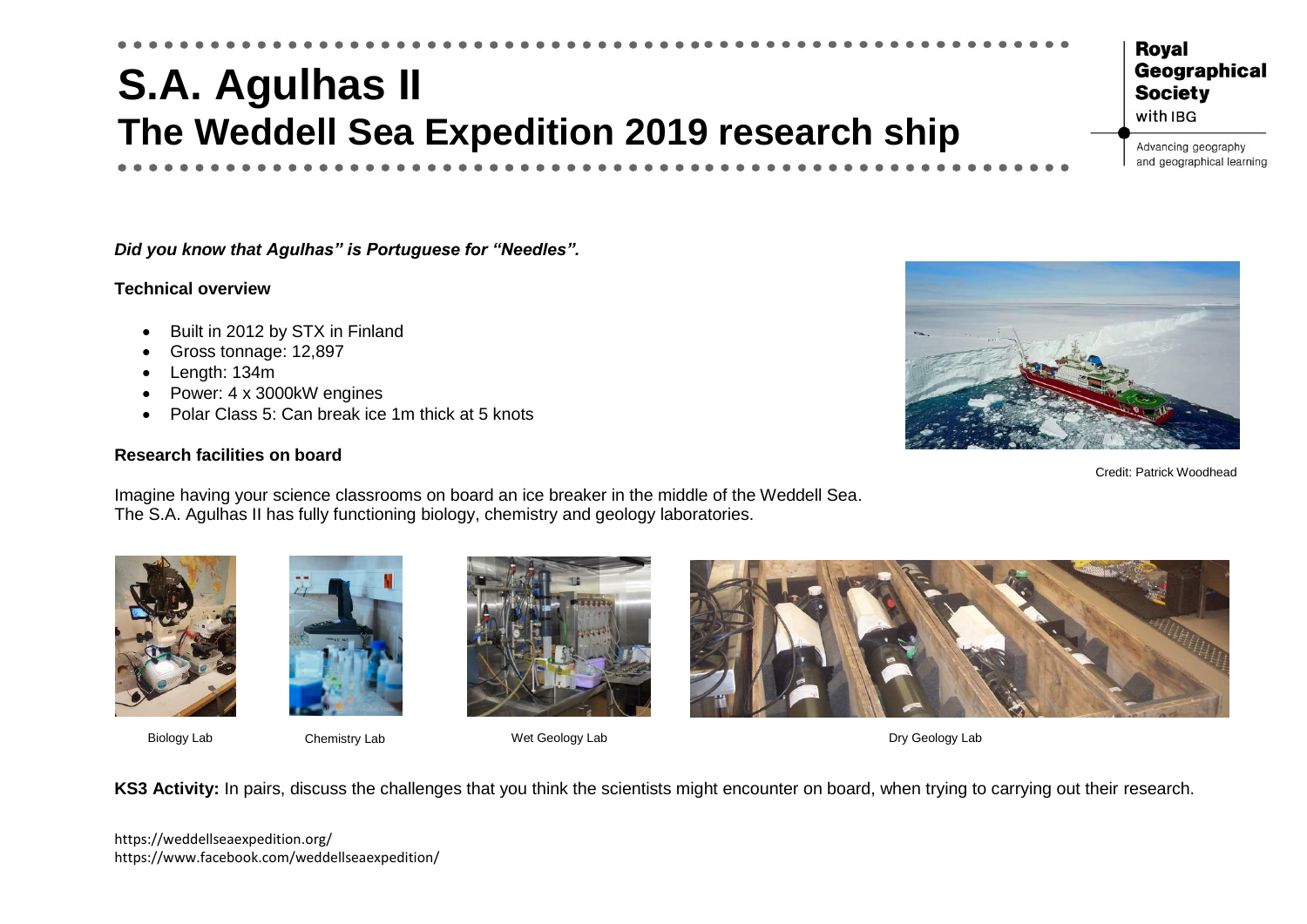# **S.A. Agulhas II The Weddell Sea Expedition 2019 research ship**

*Did you know that Agulhas" is Portuguese for "Needles".*

#### **Technical overview**

- Built in 2012 by STX in Finland
- Gross tonnage: 12,897
- Length: 134m
- Power: 4 x 3000kW engines
- Polar Class 5: Can break ice 1m thick at 5 knots

## **Research facilities on board**

Imagine having your science classrooms on board an ice breaker in the middle of the Weddell Sea. The S.A. Agulhas II has fully functioning biology, chemistry and geology laboratories.







Biology Lab Chemistry Lab Wet Geology Lab Chemistry Lab Wet Geology Lab Chemistry Lab Dry Geology Lab

**KS3 Activity:** In pairs, discuss the challenges that you think the scientists might encounter on board, when trying to carrying out their research.

https://weddellseaexpedition.org/ https://www.facebook.com/weddellseaexpedition/



Credit: Patrick Woodhead

**Society** with IBG

**Roval** 

Advancing geography and geographical learning

Geographical